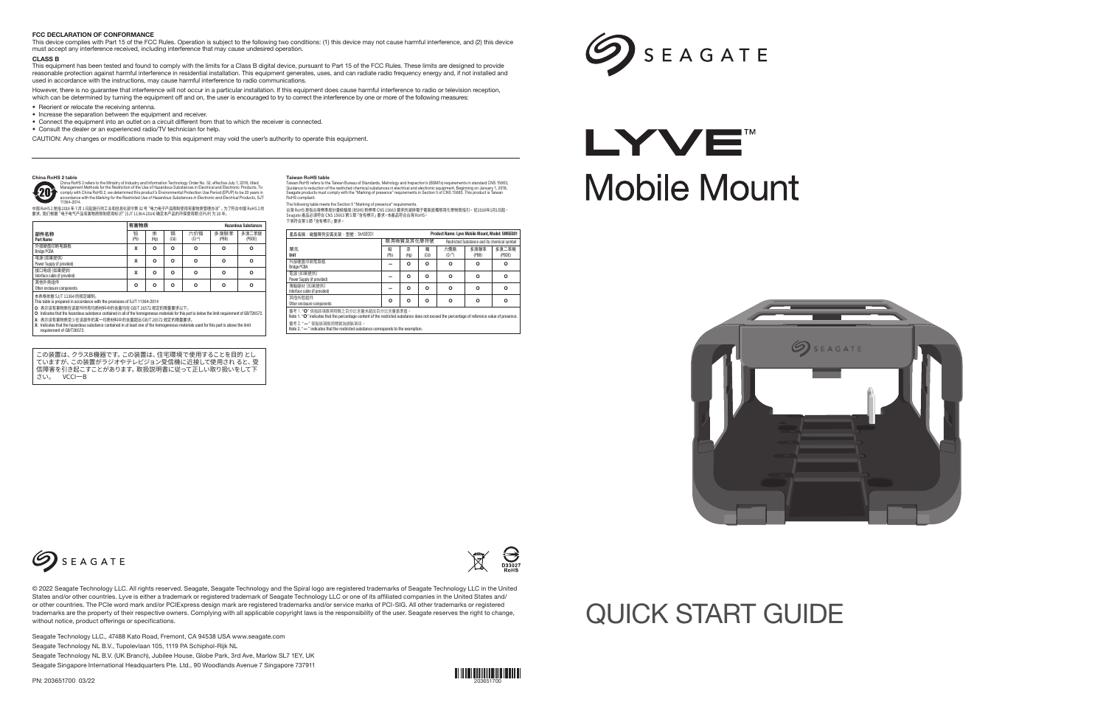

Seagate Technology LLC., 47488 Kato Road, Fremont, CA 94538 USA www.seagate.com Seagate Technology NL B.V., Tupolevlaan 105, 1119 PA Schiphol-Rijk NL Seagate Technology NL B.V. (UK Branch), Jubilee House, Globe Park, 3rd Ave, Marlow SL7 1EY, UK Seagate Singapore International Headquarters Pte. Ltd., 90 Woodlands Avenue 7 Singapore 737911

PN: 203651700 03/22



## QUICK START GUIDE

The following table meets the Section 5 "Marking of presence" requirements.<br>台灣 RoHS 是指合灣標準局計量檢驗局 (BSMI) 對標準 CNS 15663 要求的減排電子電氣設備限用化學物質指引。 從2018年1月1日起,<br>Seagate 產品必須符合 CNS 15663 第 5 節 「含有標示」要求。本產品符合台灣 RoHS。 下表符合第 5 節「含有標示」要求。

However, there is no guarantee that interference will not occur in a particular installation. If this equipment does cause harmful interference to radio or television reception, which can be determined by turning the equipment off and on, the user is encouraged to try to correct the interference by one or more of the following measures:

中国 RoHS 2 是指 2016 年 7 月 1 日起施行的工业和信息化部令第 32 号"电力电子产品限制使用有害物质管理办法"。为了符合中国 RoHS 2 的 要求,我们根据"电子电气产品有害物质限制使用标识"(SJT 11364-2014) 确定本产品的环保使用期 (EPUP) 为 20 年。

この装置は、クラスB機器です。この装置は、住宅環境で使用することを目的 とし ていますが、この装置がラジオやテレビジョン受信機に近接して使用され ると、受 信障害を引き起こすことがあります。取扱説明書に従って正しい取り扱いをして下 さい。 VCCI一B

**Taiwan RoHS table**<br>Taiwan RoHS refers to the Taiwan Bureau of Standards, Metrology and Inspection's (BSMI's) requirements in standard CNS 15663,<br>Guidance to reduction of the restricted chemical substances in electrical an

#### FCC DECLARATION OF CONFORMANCE

This device complies with Part 15 of the FCC Rules. Operation is subject to the following two conditions: (1) this device may not cause harmful interference, and (2) this device must accept any interference received, including interference that may cause undesired operation.

#### CLASS<sub>R</sub>

This equipment has been tested and found to comply with the limits for a Class B digital device, pursuant to Part 15 of the FCC Rules. These limits are designed to provide reasonable protection against harmful interference in residential installation. This equipment generates, uses, and can radiate radio frequency energy and, if not installed and used in accordance with the instructions, may cause harmful interference to radio communications.

- Reorient or relocate the receiving antenna.
- Increase the separation between the equipment and receiver.
- Connect the equipment into an outlet on a circuit different from that to which the receiver is connected.

• Consult the dealer or an experienced radio/TV technician for help.

CAUTION: Any changes or modifications made to this equipment may void the user's authority to operate this equipment.

China RoHS 2 table<br>
China RoHS 2 refers to the Ministry of Industry and Information Technology Order No. 32, effective July 1, 2016, titled<br>
Management Methods for the Restriction of the Use of Hazardous Substances in Elec

| iA                                                                                                                                                | 汞                 | 镉    | 六价铬       | 多溴联苯                                                                      | 多溴二苯醚    | 產品名稱:磁盤陣列安裝支架,型號: SMSE001                                                                                                                                                            |           |            |           | <b>Product Name: Lyve Mobile Mount, Model: SMSE001</b> |                                              |                 |
|---------------------------------------------------------------------------------------------------------------------------------------------------|-------------------|------|-----------|---------------------------------------------------------------------------|----------|--------------------------------------------------------------------------------------------------------------------------------------------------------------------------------------|-----------|------------|-----------|--------------------------------------------------------|----------------------------------------------|-----------------|
|                                                                                                                                                   | (H <sub>0</sub> ) | (Cd) | $(Cr^{0}$ | (PBB)                                                                     | (PBDE)   |                                                                                                                                                                                      |           | 限用物質及其化學符號 |           |                                                        | Restricted Substance and its chemical symbol |                 |
| x                                                                                                                                                 | O                 | റ    | $\circ$   | $\Omega$                                                                  | $\Omega$ | 單元<br>Unit                                                                                                                                                                           | 왦<br>(Pb) | 汞<br>(Hq)  | 鍢<br>(Cd) | 六價鉻<br>$(Cr+6)$                                        | 多溴聯苯<br>(PBB)                                | 多溴二苯醚<br>(PBDE) |
|                                                                                                                                                   | O                 | റ    | o         | $\Omega$                                                                  | $\Omega$ | 外接硬盤印刷電路板<br><b>Bridge PCBA</b>                                                                                                                                                      |           | Ο          | O         | $\circ$                                                | $\Omega$                                     | $\Omega$        |
|                                                                                                                                                   | $\Omega$          | O    | O         | $\Omega$                                                                  | $\Omega$ | 電源 (如果提供)<br>Power Supply (if provided)                                                                                                                                              |           | o          | O         | $\Omega$                                               | $\Omega$                                     | $\circ$         |
|                                                                                                                                                   | $\Omega$          | റ    | o         | $\Omega$                                                                  | $\Omega$ | 傳輸線材 (如果提供)<br>Interface cable (if provided)                                                                                                                                         |           | O          | O         | $\Omega$                                               | $\Omega$                                     | $\Omega$        |
| T11364-2014<br>3/T 26572 规定的限量要求以下。<br>homogeneous materials for this part is below the limit requirement of GB/T26572.<br>超出 GB/T 26572 规定的限量要求。 |                   |      |           |                                                                           |          | 其他外殼組件<br>Other enclosure components                                                                                                                                                 | $\circ$   | O          | O         | O                                                      | $\Omega$                                     | $\Omega$        |
|                                                                                                                                                   |                   |      |           |                                                                           |          | 備考 1. "O" 係指該項限用物質之百分比含量未超出百分比含量基準值。<br>Note 1. "O" indicates that the percentage content of the restricted substance does not exceed the percentage of reference value of presence. |           |            |           |                                                        |                                              |                 |
|                                                                                                                                                   |                   |      |           | st one of the homogeneous materials used for this part is above the limit |          | 備考 2. "-" 係指該項限用物質為排除項目。<br>Note 2. "-" indicates that the restricted substance corresponds to the exemption.                                                                        |           |            |           |                                                        |                                              |                 |

# SEAGATE

# LYVE" **Mobile Mount**





|                                                                                                                                                            | 有害物质      |           |           | <b>Hazardous Substances</b> |               |                 |
|------------------------------------------------------------------------------------------------------------------------------------------------------------|-----------|-----------|-----------|-----------------------------|---------------|-----------------|
| 部件名称<br><b>Part Name</b>                                                                                                                                   | 铅<br>(Pb) | 汞<br>(Hq) | 镉<br>(Cd) | 六价铬<br>$(Cr^{+6})$          | 多溴联苯<br>(PBB) | 多溴二苯醚<br>(PBDE) |
| 外接硬盘印刷电路板<br><b>Bridge PCBA</b>                                                                                                                            | x         | o         | $\circ$   | O                           | O             | $\Omega$        |
| 电源(如果提供)<br>Power Supply (if provided)                                                                                                                     | x         | o         | o         | o                           | O             | $\Omega$        |
| 接口电缆(如果提供)<br>Interface cable (if provided)                                                                                                                | X         | o         | o         | o                           | O             | $\Omega$        |
| 其他外壳组件<br>Other enclosure components                                                                                                                       | O         | o         | o         | $\circ$                     | O             | $\Omega$        |
| 本表格依据 SJ/T 11364 的规定编制。<br>This table is prepared in accordance with the provisions of SJ/T 11364-2014<br>O: 表示该有害物质在该部件所有均质材料中的含量均在 GB/T 26572 规定的限量要求以下。 |           |           |           |                             |               |                 |

ned in all of the homogeneous materials for this part is below the limit requirement of GB/T26572.

- X: 表示该有害物质至少在该部件的某一均质材料中的含量超出 GB/T ����� 规定的限量要求。 X: Indicates that the hazardous substance contained in at least one of the homogeneous materials used for this part is above the limit
- requirement of GB/T26572.



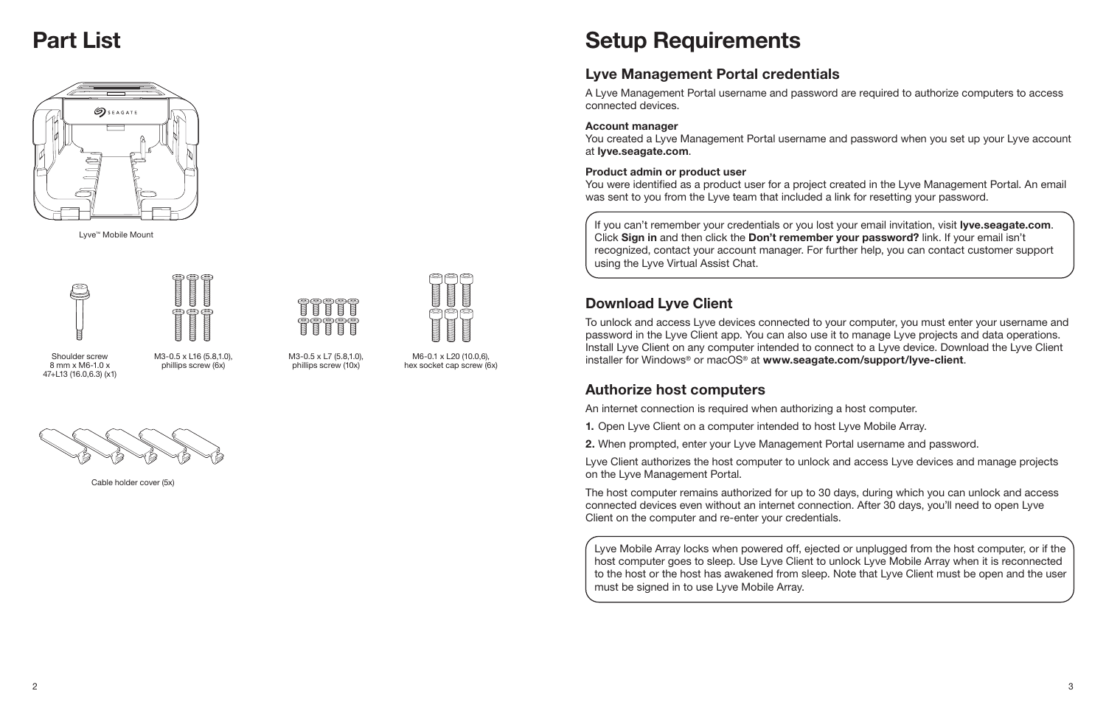### Part List



If you can't remember your credentials or you lost your email invitation, visit lyve.seagate.com. Click Sign in and then click the Don't remember your password? link. If your email isn't recognized, contact your account manager. For further help, you can contact customer support using the Lyve Virtual Assist Chat.



### Lyve Management Portal credentials

A Lyve Management Portal username and password are required to authorize computers to access connected devices.

#### Account manager

You created a Lyve Management Portal username and password when you set up your Lyve account at lyve.seagate.com.

#### Product admin or product user

You were identified as a product user for a project created in the Lyve Management Portal. An email was sent to you from the Lyve team that included a link for resetting your password.

### Download Lyve Client

To unlock and access Lyve devices connected to your computer, you must enter your username and password in the Lyve Client app. You can also use it to manage Lyve projects and data operations. Install Lyve Client on any computer intended to connect to a Lyve device. Download the Lyve Client installer for Windows® or macOS® at www.seagate.com/support/lyve-client.

#### Authorize host computers

An internet connection is required when authorizing a host computer.

1. Open Lyve Client on a computer intended to host Lyve Mobile Array.

2. When prompted, enter your Lyve Management Portal username and password.

- 
- 
- 
- Lyve Client authorizes the host computer to unlock and access Lyve devices and manage projects

on the Lyve Management Portal.

The host computer remains authorized for up to 30 days, during which you can unlock and access connected devices even without an internet connection. After 30 days, you'll need to open Lyve Client on the computer and re-enter your credentials.

Lyve Mobile Array locks when powered off, ejected or unplugged from the host computer, or if the host computer goes to sleep. Use Lyve Client to unlock Lyve Mobile Array when it is reconnected to the host or the host has awakened from sleep. Note that Lyve Client must be open and the user must be signed in to use Lyve Mobile Array.

Shoulder screw 8 mm x M6-1.0 x 47+L13 (16.0,6.3) (x1)

Lyve™ Mobile Mount





M3-0.5 x L16 (5.8,1.0), phillips screw (6x)



Cable holder cover (5x)



M3-0.5 x L7 (5.8,1.0), phillips screw (10x)



M6-0.1 x L20 (10.0,6), hex socket cap screw (6x)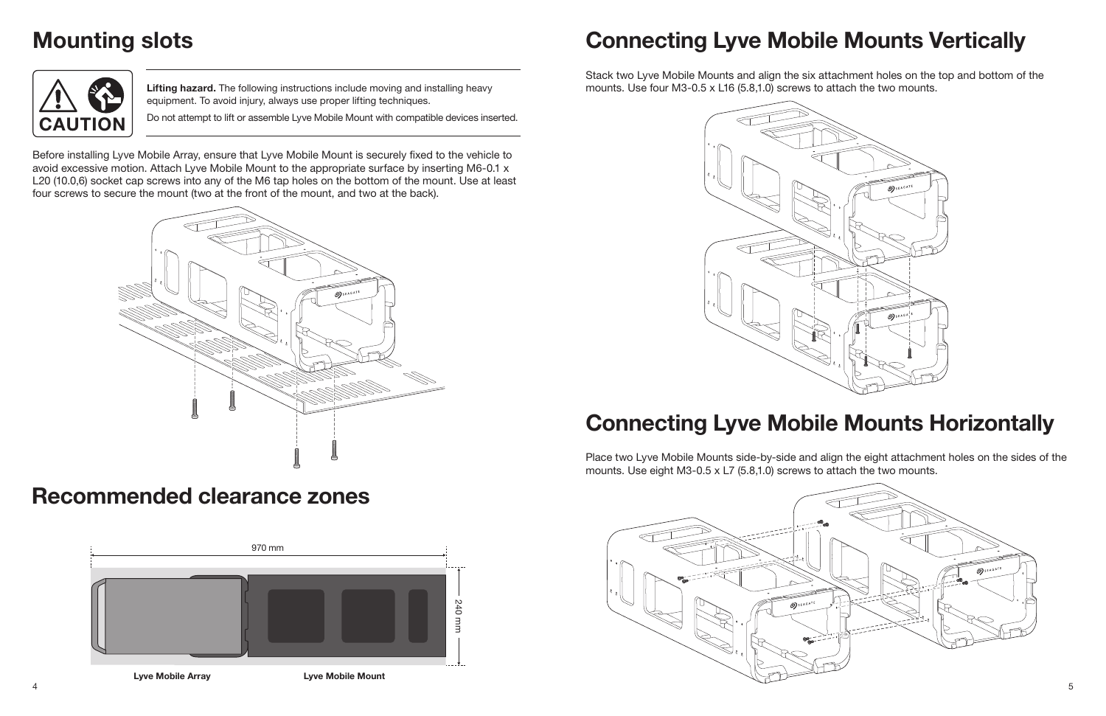## Connecting Lyve Mobile Mounts Vertically

Stack two Lyve Mobile Mounts and align the six attachment holes on the top and bottom of the mounts. Use four M3-0.5 x L16 (5.8,1.0) screws to attach the two mounts.

## Connecting Lyve Mobile Mounts Horizontally

Place two Lyve Mobile Mounts side-by-side and align the eight attachment holes on the sides of the mounts. Use eight M3-0.5 x L7 (5.8,1.0) screws to attach the two mounts.



Lifting hazard. The following instructions include moving and installing heavy equipment. To avoid injury, always use proper lifting techniques.

CAUTION **Do not attempt to lift or assemble Lyve Mobile Mount with compatible devices inserted.** 

Before installing Lyve Mobile Array, ensure that Lyve Mobile Mount is securely fixed to the vehicle to avoid excessive motion. Attach Lyve Mobile Mount to the appropriate surface by inserting M6-0.1 x L20 (10.0,6) socket cap screws into any of the M6 tap holes on the bottom of the mount. Use at least four screws to secure the mount (two at the front of the mount, and two at the back).

## Mounting slots



### Recommended clearance zones



Lyve Mobile Array **Lyve Mobile Mount** 



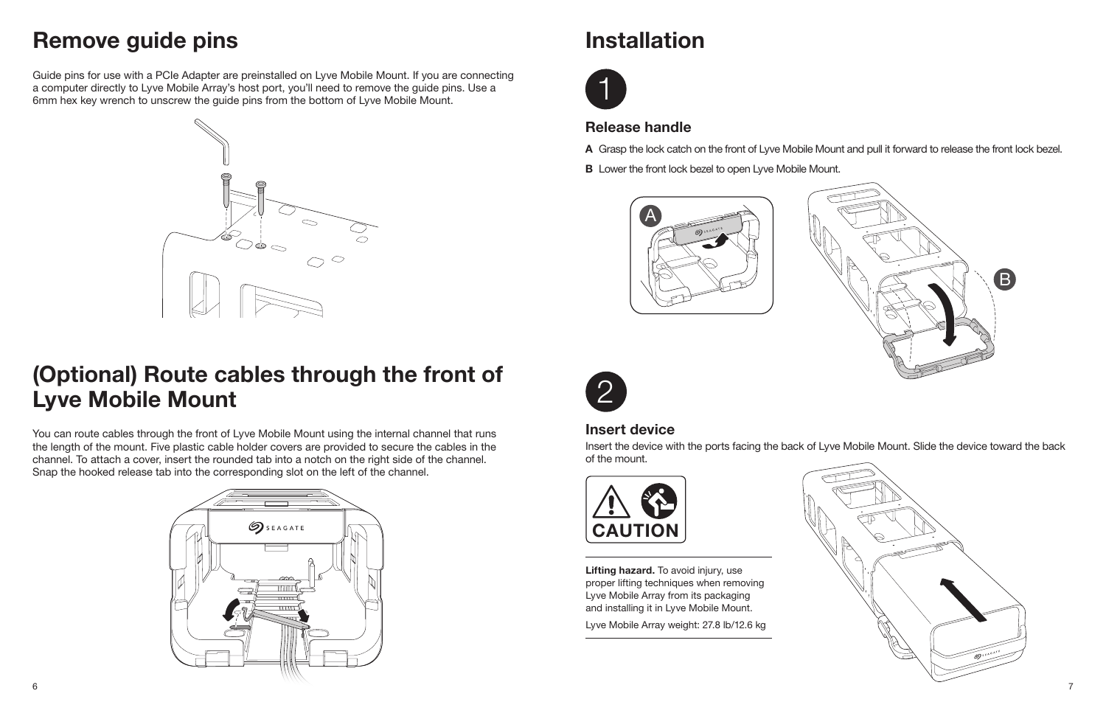

## Installation





### Release handle

- 
- **B** Lower the front lock bezel to open Lyve Mobile Mount.

A Grasp the lock catch on the front of Lyve Mobile Mount and pull it forward to release the front lock bezel.

### Insert device

Lifting hazard. To avoid injury, use proper lifting techniques when removing Lyve Mobile Array from its packaging and installing it in Lyve Mobile Mount.

Insert the device with the ports facing the back of Lyve Mobile Mount. Slide the device toward the back of the mount.







Lyve Mobile Array weight: 27.8 lb/12.6 kg



### Remove guide pins

Guide pins for use with a PCIe Adapter are preinstalled on Lyve Mobile Mount. If you are connecting a computer directly to Lyve Mobile Array's host port, you'll need to remove the guide pins. Use a 6mm hex key wrench to unscrew the guide pins from the bottom of Lyve Mobile Mount.



### (Optional) Route cables through the front of Lyve Mobile Mount

You can route cables through the front of Lyve Mobile Mount using the internal channel that runs the length of the mount. Five plastic cable holder covers are provided to secure the cables in the channel. To attach a cover, insert the rounded tab into a notch on the right side of the channel. Snap the hooked release tab into the corresponding slot on the left of the channel.